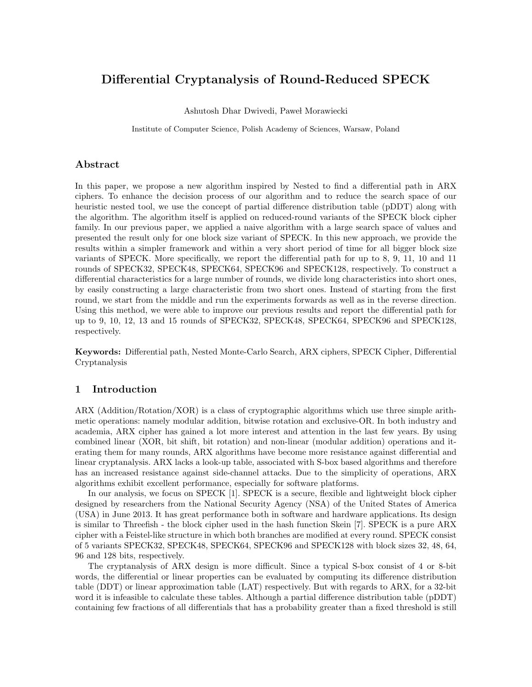# Differential Cryptanalysis of Round-Reduced SPECK

Ashutosh Dhar Dwivedi, Paweł Morawiecki

Institute of Computer Science, Polish Academy of Sciences, Warsaw, Poland

#### Abstract

In this paper, we propose a new algorithm inspired by Nested to find a differential path in ARX ciphers. To enhance the decision process of our algorithm and to reduce the search space of our heuristic nested tool, we use the concept of partial difference distribution table (pDDT) along with the algorithm. The algorithm itself is applied on reduced-round variants of the SPECK block cipher family. In our previous paper, we applied a naive algorithm with a large search space of values and presented the result only for one block size variant of SPECK. In this new approach, we provide the results within a simpler framework and within a very short period of time for all bigger block size variants of SPECK. More specifically, we report the differential path for up to 8, 9, 11, 10 and 11 rounds of SPECK32, SPECK48, SPECK64, SPECK96 and SPECK128, respectively. To construct a differential characteristics for a large number of rounds, we divide long characteristics into short ones, by easily constructing a large characteristic from two short ones. Instead of starting from the first round, we start from the middle and run the experiments forwards as well as in the reverse direction. Using this method, we were able to improve our previous results and report the differential path for up to 9, 10, 12, 13 and 15 rounds of SPECK32, SPECK48, SPECK64, SPECK96 and SPECK128, respectively.

Keywords: Differential path, Nested Monte-Carlo Search, ARX ciphers, SPECK Cipher, Differential Cryptanalysis

### 1 Introduction

ARX (Addition/Rotation/XOR) is a class of cryptographic algorithms which use three simple arithmetic operations: namely modular addition, bitwise rotation and exclusive-OR. In both industry and academia, ARX cipher has gained a lot more interest and attention in the last few years. By using combined linear (XOR, bit shift, bit rotation) and non-linear (modular addition) operations and iterating them for many rounds, ARX algorithms have become more resistance against differential and linear cryptanalysis. ARX lacks a look-up table, associated with S-box based algorithms and therefore has an increased resistance against side-channel attacks. Due to the simplicity of operations, ARX algorithms exhibit excellent performance, especially for software platforms.

In our analysis, we focus on SPECK [1]. SPECK is a secure, flexible and lightweight block cipher designed by researchers from the National Security Agency (NSA) of the United States of America (USA) in June 2013. It has great performance both in software and hardware applications. Its design is similar to Threefish - the block cipher used in the hash function Skein [7]. SPECK is a pure ARX cipher with a Feistel-like structure in which both branches are modified at every round. SPECK consist of 5 variants SPECK32, SPECK48, SPECK64, SPECK96 and SPECK128 with block sizes 32, 48, 64, 96 and 128 bits, respectively.

The cryptanalysis of ARX design is more difficult. Since a typical S-box consist of 4 or 8-bit words, the differential or linear properties can be evaluated by computing its difference distribution table (DDT) or linear approximation table (LAT) respectively. But with regards to ARX, for a 32-bit word it is infeasible to calculate these tables. Although a partial difference distribution table (pDDT) containing few fractions of all differentials that has a probability greater than a fixed threshold is still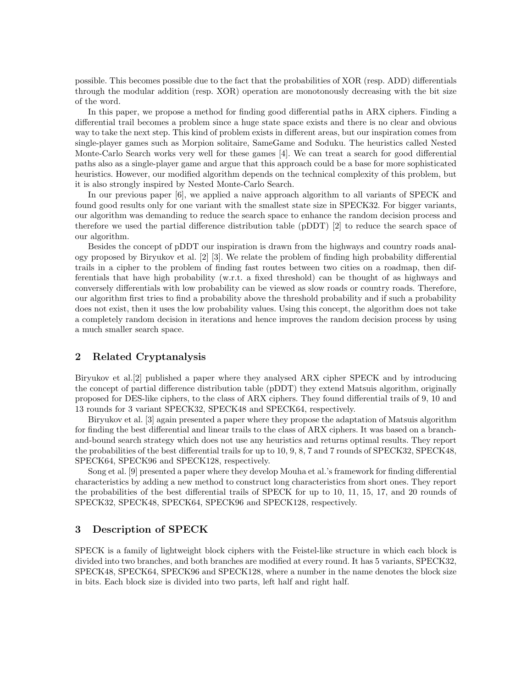possible. This becomes possible due to the fact that the probabilities of XOR (resp. ADD) differentials through the modular addition (resp. XOR) operation are monotonously decreasing with the bit size of the word.

In this paper, we propose a method for finding good differential paths in ARX ciphers. Finding a differential trail becomes a problem since a huge state space exists and there is no clear and obvious way to take the next step. This kind of problem exists in different areas, but our inspiration comes from single-player games such as Morpion solitaire, SameGame and Soduku. The heuristics called Nested Monte-Carlo Search works very well for these games [4]. We can treat a search for good differential paths also as a single-player game and argue that this approach could be a base for more sophisticated heuristics. However, our modified algorithm depends on the technical complexity of this problem, but it is also strongly inspired by Nested Monte-Carlo Search.

In our previous paper [6], we applied a naive approach algorithm to all variants of SPECK and found good results only for one variant with the smallest state size in SPECK32. For bigger variants, our algorithm was demanding to reduce the search space to enhance the random decision process and therefore we used the partial difference distribution table (pDDT) [2] to reduce the search space of our algorithm.

Besides the concept of pDDT our inspiration is drawn from the highways and country roads analogy proposed by Biryukov et al. [2] [3]. We relate the problem of finding high probability differential trails in a cipher to the problem of finding fast routes between two cities on a roadmap, then differentials that have high probability (w.r.t. a fixed threshold) can be thought of as highways and conversely differentials with low probability can be viewed as slow roads or country roads. Therefore, our algorithm first tries to find a probability above the threshold probability and if such a probability does not exist, then it uses the low probability values. Using this concept, the algorithm does not take a completely random decision in iterations and hence improves the random decision process by using a much smaller search space.

## 2 Related Cryptanalysis

Biryukov et al.[2] published a paper where they analysed ARX cipher SPECK and by introducing the concept of partial difference distribution table (pDDT) they extend Matsuis algorithm, originally proposed for DES-like ciphers, to the class of ARX ciphers. They found differential trails of 9, 10 and 13 rounds for 3 variant SPECK32, SPECK48 and SPECK64, respectively.

Biryukov et al. [3] again presented a paper where they propose the adaptation of Matsuis algorithm for finding the best differential and linear trails to the class of ARX ciphers. It was based on a branchand-bound search strategy which does not use any heuristics and returns optimal results. They report the probabilities of the best differential trails for up to 10, 9, 8, 7 and 7 rounds of SPECK32, SPECK48, SPECK64, SPECK96 and SPECK128, respectively.

Song et al. [9] presented a paper where they develop Mouha et al.'s framework for finding differential characteristics by adding a new method to construct long characteristics from short ones. They report the probabilities of the best differential trails of SPECK for up to 10, 11, 15, 17, and 20 rounds of SPECK32, SPECK48, SPECK64, SPECK96 and SPECK128, respectively.

#### 3 Description of SPECK

SPECK is a family of lightweight block ciphers with the Feistel-like structure in which each block is divided into two branches, and both branches are modified at every round. It has 5 variants, SPECK32, SPECK48, SPECK64, SPECK96 and SPECK128, where a number in the name denotes the block size in bits. Each block size is divided into two parts, left half and right half.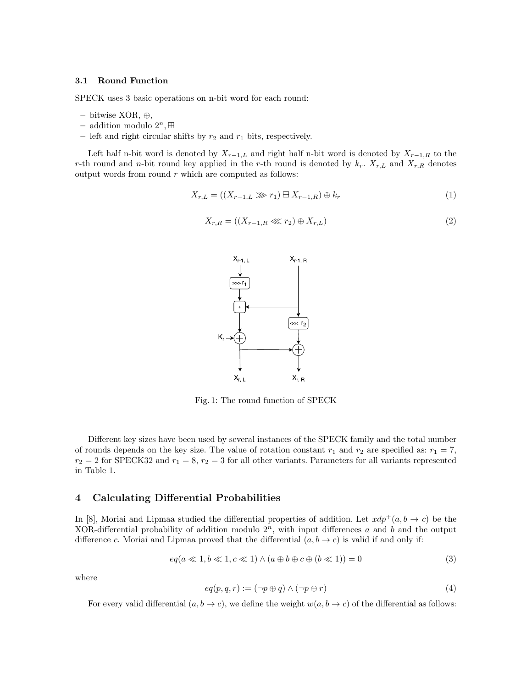#### 3.1 Round Function

SPECK uses 3 basic operations on n-bit word for each round:

- bitwise XOR, ⊕,
- addition modulo  $2^n$ ,  $\boxplus$
- left and right circular shifts by  $r_2$  and  $r_1$  bits, respectively.

Left half n-bit word is denoted by  $X_{r-1,L}$  and right half n-bit word is denoted by  $X_{r-1,R}$  to the r-th round and n-bit round key applied in the r-th round is denoted by  $k_r$ .  $X_{r,L}$  and  $X_{r,R}$  denotes output words from round  $r$  which are computed as follows:

$$
X_{r,L} = ((X_{r-1,L} \ggg r_1) \boxplus X_{r-1,R}) \oplus k_r \tag{1}
$$

$$
X_{r,R} = ((X_{r-1,R} \lll r_2) \oplus X_{r,L})
$$
\n
$$
(2)
$$



Fig. 1: The round function of SPECK

Different key sizes have been used by several instances of the SPECK family and the total number of rounds depends on the key size. The value of rotation constant  $r_1$  and  $r_2$  are specified as:  $r_1 = 7$ ,  $r_2 = 2$  for SPECK32 and  $r_1 = 8$ ,  $r_2 = 3$  for all other variants. Parameters for all variants represented in Table 1.

### 4 Calculating Differential Probabilities

In [8], Moriai and Lipmaa studied the differential properties of addition. Let  $xdp^+(a, b \to c)$  be the XOR-differential probability of addition modulo  $2<sup>n</sup>$ , with input differences a and b and the output difference c. Moriai and Lipmaa proved that the differential  $(a, b \rightarrow c)$  is valid if and only if:

$$
eq(a \ll 1, b \ll 1, c \ll 1) \land (a \oplus b \oplus c \oplus (b \ll 1)) = 0
$$
\n
$$
(3)
$$

where

$$
eq(p, q, r) := (\neg p \oplus q) \land (\neg p \oplus r) \tag{4}
$$

For every valid differential  $(a, b \to c)$ , we define the weight  $w(a, b \to c)$  of the differential as follows: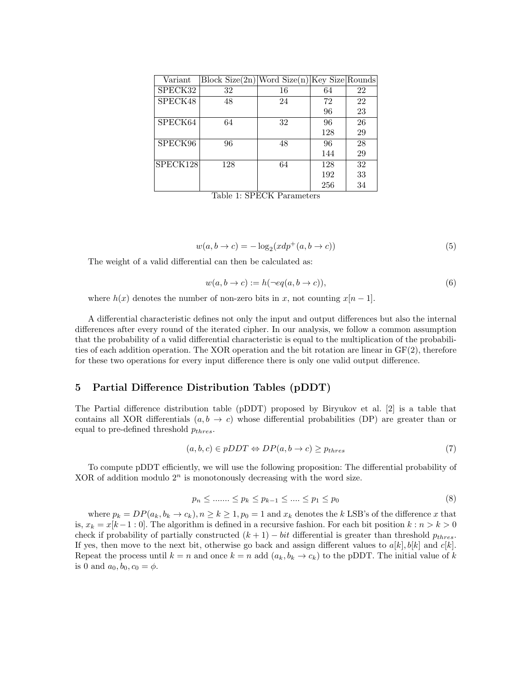| Variant  | $ Block Size(2n) Word Size(n) Key Size Rounds $ |    |     |    |
|----------|-------------------------------------------------|----|-----|----|
| SPECK32  | 32                                              | 16 | 64  | 22 |
| SPECK48  | 48                                              | 24 | 72  | 22 |
|          |                                                 |    | 96  | 23 |
| SPECK64  | 64                                              | 32 | 96  | 26 |
|          |                                                 |    | 128 | 29 |
| SPECK96  | 96                                              | 48 | 96  | 28 |
|          |                                                 |    | 144 | 29 |
| SPECK128 | 128                                             | 64 | 128 | 32 |
|          |                                                 |    | 192 | 33 |
|          |                                                 |    | 256 | 34 |

Table 1: SPECK Parameters

$$
w(a, b \to c) = -\log_2(xdp^+(a, b \to c))
$$
\n<sup>(5)</sup>

The weight of a valid differential can then be calculated as:

$$
w(a, b \to c) := h(\neg eq(a, b \to c)),\tag{6}
$$

where  $h(x)$  denotes the number of non-zero bits in x, not counting  $x[n-1]$ .

A differential characteristic defines not only the input and output differences but also the internal differences after every round of the iterated cipher. In our analysis, we follow a common assumption that the probability of a valid differential characteristic is equal to the multiplication of the probabilities of each addition operation. The XOR operation and the bit rotation are linear in GF(2), therefore for these two operations for every input difference there is only one valid output difference.

#### 5 Partial Difference Distribution Tables (pDDT)

The Partial difference distribution table (pDDT) proposed by Biryukov et al. [2] is a table that contains all XOR differentials  $(a, b \to c)$  whose differential probabilities (DP) are greater than or equal to pre-defined threshold  $p_{thres}.$ 

$$
(a, b, c) \in pDDT \Leftrightarrow DP(a, b \to c) \ge p_{thres}
$$
\n<sup>(7)</sup>

To compute pDDT efficiently, we will use the following proposition: The differential probability of XOR of addition modulo  $2^n$  is monotonously decreasing with the word size.

$$
p_n \le \dots \le p_k \le p_{k-1} \le \dots \le p_1 \le p_0 \tag{8}
$$

where  $p_k = DP(a_k, b_k \to c_k), n \geq k \geq 1, p_0 = 1$  and  $x_k$  denotes the k LSB's of the difference x that is,  $x_k = x[k-1:0]$ . The algorithm is defined in a recursive fashion. For each bit position  $k : n > k > 0$ check if probability of partially constructed  $(k + 1) - bit$  differential is greater than threshold  $p_{thres}$ . If yes, then move to the next bit, otherwise go back and assign different values to  $a[k], b[k]$  and  $c[k]$ . Repeat the process until  $k = n$  and once  $k = n$  add  $(a_k, b_k \to c_k)$  to the pDDT. The initial value of k is 0 and  $a_0, b_0, c_0 = \phi$ .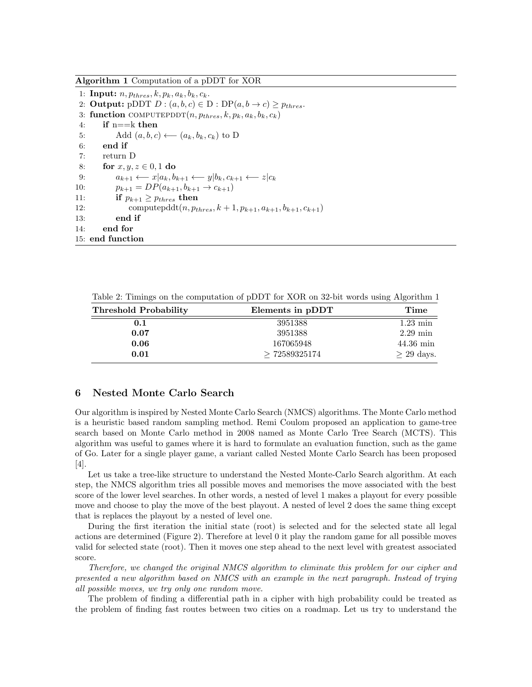Algorithm 1 Computation of a pDDT for XOR

1: Input:  $n, p_{thres}, k, p_k, a_k, b_k, c_k$ . 2: **Output:** pDDT  $D$  :  $(a, b, c) \in D$  :  $DP(a, b \rightarrow c) \geq p_{thres}$ . 3: function COMPUTEPDDT $(n, p_{thres}, k, p_k, a_k, b_k, c_k)$ 4: if  $n = k$  then 5: Add  $(a, b, c) \longleftarrow (a_k, b_k, c_k)$  to D 6: end if 7: return D 8: for  $x, y, z \in [0, 1]$  do 9:  $a_{k+1} \leftarrow x | a_k, b_{k+1} \leftarrow y | b_k, c_{k+1} \leftarrow z | c_k$ 10:  $p_{k+1} = DP(a_{k+1}, b_{k+1} \rightarrow c_{k+1})$ 11: if  $p_{k+1} \geq p_{thres}$  then 12: computepddt $(n, p_{thres}, k+1, p_{k+1}, a_{k+1}, b_{k+1}, c_{k+1})$ 13: end if 14: end for 15: end function

Table 2: Timings on the computation of pDDT for XOR on 32-bit words using Algorithm 1

| <b>Threshold Probability</b> | Elements in pDDT | Time                |
|------------------------------|------------------|---------------------|
| 0.1                          | 3951388          | $1.23 \text{ min}$  |
| 0.07                         | 3951388          | $2.29 \text{ min}$  |
| 0.06                         | 167065948        | $44.36 \text{ min}$ |
| 0.01                         | >72589325174     | $\geq$ 29 days.     |

### 6 Nested Monte Carlo Search

Our algorithm is inspired by Nested Monte Carlo Search (NMCS) algorithms. The Monte Carlo method is a heuristic based random sampling method. Remi Coulom proposed an application to game-tree search based on Monte Carlo method in 2008 named as Monte Carlo Tree Search (MCTS). This algorithm was useful to games where it is hard to formulate an evaluation function, such as the game of Go. Later for a single player game, a variant called Nested Monte Carlo Search has been proposed [4].

Let us take a tree-like structure to understand the Nested Monte-Carlo Search algorithm. At each step, the NMCS algorithm tries all possible moves and memorises the move associated with the best score of the lower level searches. In other words, a nested of level 1 makes a playout for every possible move and choose to play the move of the best playout. A nested of level 2 does the same thing except that is replaces the playout by a nested of level one.

During the first iteration the initial state (root) is selected and for the selected state all legal actions are determined (Figure 2). Therefore at level 0 it play the random game for all possible moves valid for selected state (root). Then it moves one step ahead to the next level with greatest associated score.

Therefore, we changed the original NMCS algorithm to eliminate this problem for our cipher and presented a new algorithm based on NMCS with an example in the next paragraph. Instead of trying all possible moves, we try only one random move.

The problem of finding a differential path in a cipher with high probability could be treated as the problem of finding fast routes between two cities on a roadmap. Let us try to understand the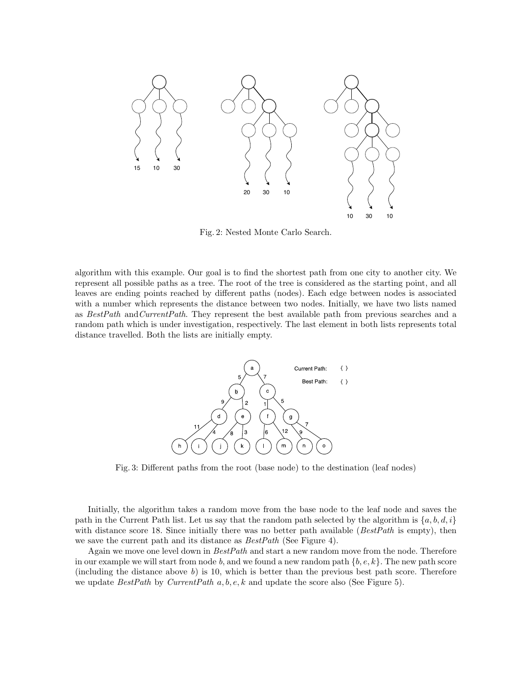

Fig. 2: Nested Monte Carlo Search.

algorithm with this example. Our goal is to find the shortest path from one city to another city. We represent all possible paths as a tree. The root of the tree is considered as the starting point, and all leaves are ending points reached by different paths (nodes). Each edge between nodes is associated with a number which represents the distance between two nodes. Initially, we have two lists named as BestPath andCurrentPath. They represent the best available path from previous searches and a random path which is under investigation, respectively. The last element in both lists represents total distance travelled. Both the lists are initially empty.



Fig. 3: Different paths from the root (base node) to the destination (leaf nodes)

Initially, the algorithm takes a random move from the base node to the leaf node and saves the path in the Current Path list. Let us say that the random path selected by the algorithm is  $\{a, b, d, i\}$ with distance score 18. Since initially there was no better path available ( $BestPath$  is empty), then we save the current path and its distance as  $BestPath$  (See Figure 4).

Again we move one level down in BestPath and start a new random move from the node. Therefore in our example we will start from node b, and we found a new random path  $\{b, e, k\}$ . The new path score (including the distance above  $b$ ) is 10, which is better than the previous best path score. Therefore we update  $BestPath$  by CurrentPath  $a, b, e, k$  and update the score also (See Figure 5).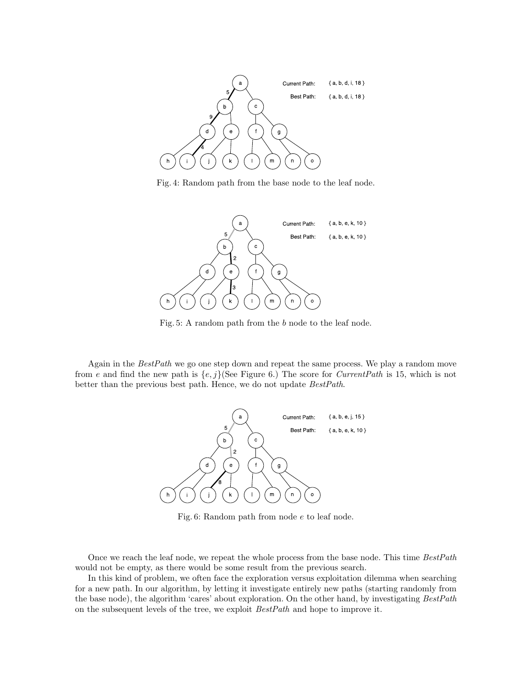

Fig. 4: Random path from the base node to the leaf node.



Fig. 5: A random path from the b node to the leaf node.

Again in the BestPath we go one step down and repeat the same process. We play a random move from e and find the new path is  $\{e, j\}$ (See Figure 6.) The score for *CurrentPath* is 15, which is not better than the previous best path. Hence, we do not update BestPath.



Fig. 6: Random path from node e to leaf node.

Once we reach the leaf node, we repeat the whole process from the base node. This time BestPath would not be empty, as there would be some result from the previous search.

In this kind of problem, we often face the exploration versus exploitation dilemma when searching for a new path. In our algorithm, by letting it investigate entirely new paths (starting randomly from the base node), the algorithm 'cares' about exploration. On the other hand, by investigating BestPath on the subsequent levels of the tree, we exploit BestPath and hope to improve it.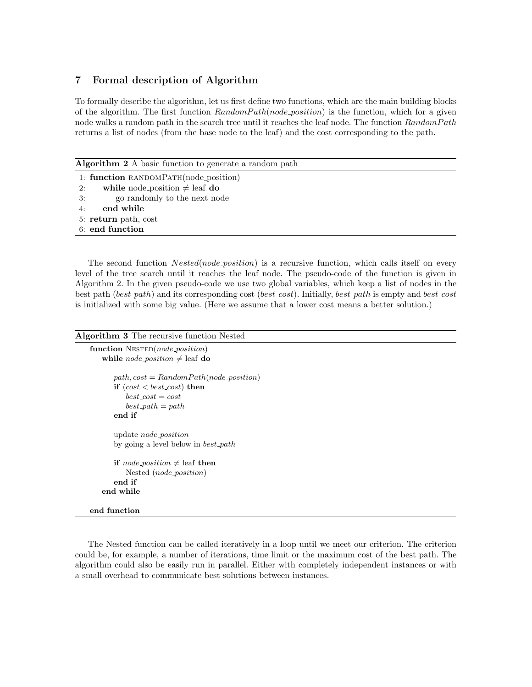## 7 Formal description of Algorithm

To formally describe the algorithm, let us first define two functions, which are the main building blocks of the algorithm. The first function  $RandomPath(node_{position})$  is the function, which for a given node walks a random path in the search tree until it reaches the leaf node. The function RandomPath returns a list of nodes (from the base node to the leaf) and the cost corresponding to the path.

Algorithm 2 A basic function to generate a random path

|    | 1: function RANDOMPATH(node_position) |
|----|---------------------------------------|
|    | 2: while node position $\neq$ leaf do |
|    | 3: go randomly to the next node       |
| 4: | end while                             |
|    | 5: return path, cost                  |
|    | 6: end function                       |

The second function  $Nested(node\_position)$  is a recursive function, which calls itself on every level of the tree search until it reaches the leaf node. The pseudo-code of the function is given in Algorithm 2. In the given pseudo-code we use two global variables, which keep a list of nodes in the best path (best path) and its corresponding cost (best cost). Initially, best path is empty and best cost is initialized with some big value. (Here we assume that a lower cost means a better solution.)

```
Algorithm 3 The recursive function Nested
```

```
function NESTED(node_position)
   while node_position \neq leaf do
      path, cost = RandomPath(node\_position)if (cost < best\_cost) then
          best\_cost = costbest.path = pathend if
      update node position
      by going a level below in best path
      if node_position \neq leaf then
          Nested (node position)
      end if
   end while
end function
```
The Nested function can be called iteratively in a loop until we meet our criterion. The criterion could be, for example, a number of iterations, time limit or the maximum cost of the best path. The algorithm could also be easily run in parallel. Either with completely independent instances or with a small overhead to communicate best solutions between instances.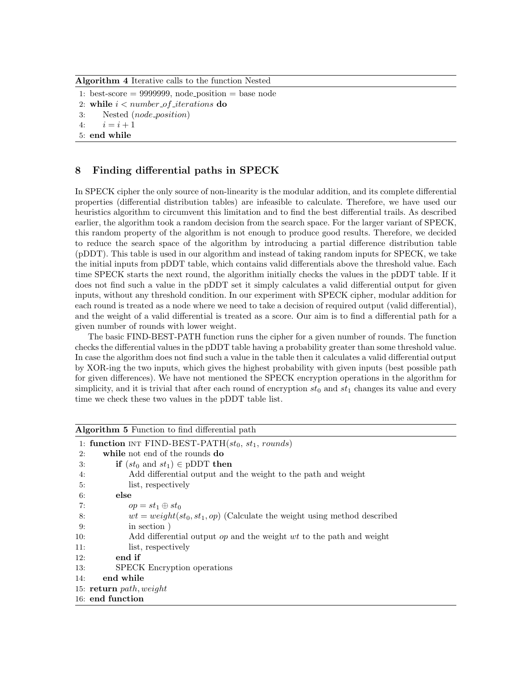Algorithm 4 Iterative calls to the function Nested

1: best-score  $= 9999999$ , node position  $=$  base node

- 2: while  $i < number_of_i$  iterations do
- 3: Nested (node position)

4:  $i = i + 1$ 

5: end while

# 8 Finding differential paths in SPECK

In SPECK cipher the only source of non-linearity is the modular addition, and its complete differential properties (differential distribution tables) are infeasible to calculate. Therefore, we have used our heuristics algorithm to circumvent this limitation and to find the best differential trails. As described earlier, the algorithm took a random decision from the search space. For the larger variant of SPECK, this random property of the algorithm is not enough to produce good results. Therefore, we decided to reduce the search space of the algorithm by introducing a partial difference distribution table (pDDT). This table is used in our algorithm and instead of taking random inputs for SPECK, we take the initial inputs from pDDT table, which contains valid differentials above the threshold value. Each time SPECK starts the next round, the algorithm initially checks the values in the pDDT table. If it does not find such a value in the pDDT set it simply calculates a valid differential output for given inputs, without any threshold condition. In our experiment with SPECK cipher, modular addition for each round is treated as a node where we need to take a decision of required output (valid differential), and the weight of a valid differential is treated as a score. Our aim is to find a differential path for a given number of rounds with lower weight.

The basic FIND-BEST-PATH function runs the cipher for a given number of rounds. The function checks the differential values in the pDDT table having a probability greater than some threshold value. In case the algorithm does not find such a value in the table then it calculates a valid differential output by XOR-ing the two inputs, which gives the highest probability with given inputs (best possible path for given differences). We have not mentioned the SPECK encryption operations in the algorithm for simplicity, and it is trivial that after each round of encryption  $st_0$  and  $st_1$  changes its value and every time we check these two values in the pDDT table list.

| <b>Algorithm 5</b> Function to find differential path                             |  |
|-----------------------------------------------------------------------------------|--|
| 1: function INT FIND-BEST-PATH $(st_0, st_1, rounds)$                             |  |
| while not end of the rounds do<br>2:                                              |  |
| <b>if</b> $(st_0 \text{ and } st_1) \in \text{pDDT}$ then<br>3:                   |  |
| Add differential output and the weight to the path and weight<br>4:               |  |
| list, respectively<br>5:                                                          |  |
| else<br>6:                                                                        |  |
| $op = st_1 \oplus st_0$<br>7:                                                     |  |
| $wt = weight(st_0, st_1, op)$ (Calculate the weight using method described<br>-8: |  |
| in section)<br>9:                                                                 |  |
| 10:<br>Add differential output $op$ and the weight wt to the path and weight      |  |
| 11:<br>list, respectively                                                         |  |
| 12:<br>end if                                                                     |  |
| 13:<br><b>SPECK</b> Encryption operations                                         |  |
| end while<br>14:                                                                  |  |
| 15: return $path, weight$                                                         |  |
| 16: end function                                                                  |  |
|                                                                                   |  |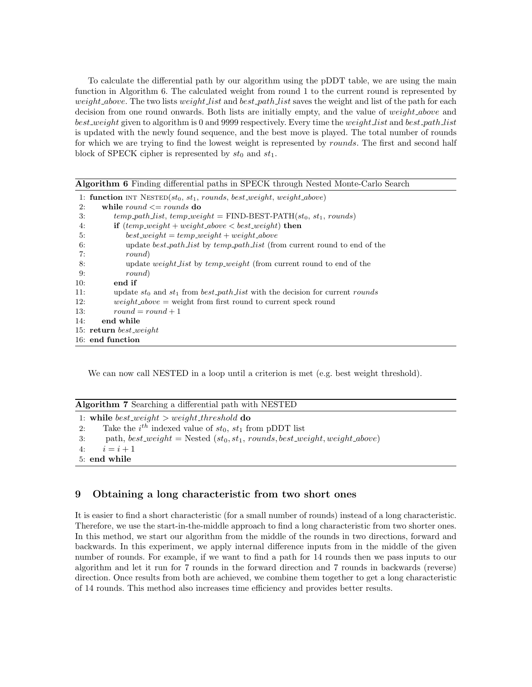To calculate the differential path by our algorithm using the pDDT table, we are using the main function in Algorithm 6. The calculated weight from round 1 to the current round is represented by weight above. The two lists weight list and best path list saves the weight and list of the path for each decision from one round onwards. Both lists are initially empty, and the value of *weight\_above* and best weight given to algorithm is 0 and 9999 respectively. Every time the weight list and best path list is updated with the newly found sequence, and the best move is played. The total number of rounds for which we are trying to find the lowest weight is represented by *rounds*. The first and second half block of SPECK cipher is represented by  $st_0$  and  $st_1$ .

| Algorithm 6 Finding differential paths in SPECK through Nested Monte-Carlo Search                  |
|----------------------------------------------------------------------------------------------------|
| 1: function INT NESTED $(st_0, st_1, rounds, best\_weight, weight\_above)$                         |
| while round $\le$ rounds do<br>2:                                                                  |
| $temp\_path\_list$ , $temp\_weight = \text{FIND-BEST-PATH}(st_0, st_1, rounds)$<br>$\mathcal{B}$ : |
| <b>if</b> $temp\_weight + weight\_above < best\_weight)$ then<br>4:                                |
| $best\_weight = temp\_weight + weight\_above$<br>5:                                                |
| update <i>best_path_list</i> by <i>temp_path_list</i> (from current round to end of the<br>6:      |
| 7:<br>round)                                                                                       |
| update <i>weight list</i> by <i>temp_weight</i> (from current round to end of the<br>8:            |
| 9:<br>round)                                                                                       |
| end if<br>10:                                                                                      |
| 11:<br>update $st_0$ and $st_1$ from $best.path_list$ with the decision for current rounds         |
| $weight\_above$ = weight from first round to current speck round<br>12:                            |
| $round = round + 1$<br>13:                                                                         |
| end while<br>14:                                                                                   |
| 15: return best weight                                                                             |
| 16: end function                                                                                   |

We can now call NESTED in a loop until a criterion is met (e.g. best weight threshold).

|      | <b>Algorithm 7</b> Searching a differential path with NESTED                   |
|------|--------------------------------------------------------------------------------|
|      | 1: while best weight $>$ weight threshold do                                   |
| 2:   | Take the $i^{th}$ indexed value of $st_0$ , $st_1$ from pDDT list              |
| - 3: | path, best_weight = Nested $(st_0, st_1, rounds, best\_weight, weight\_above)$ |

4:  $i = i + 1$ 5: end while

# 9 Obtaining a long characteristic from two short ones

It is easier to find a short characteristic (for a small number of rounds) instead of a long characteristic. Therefore, we use the start-in-the-middle approach to find a long characteristic from two shorter ones. In this method, we start our algorithm from the middle of the rounds in two directions, forward and backwards. In this experiment, we apply internal difference inputs from in the middle of the given number of rounds. For example, if we want to find a path for 14 rounds then we pass inputs to our algorithm and let it run for 7 rounds in the forward direction and 7 rounds in backwards (reverse) direction. Once results from both are achieved, we combine them together to get a long characteristic of 14 rounds. This method also increases time efficiency and provides better results.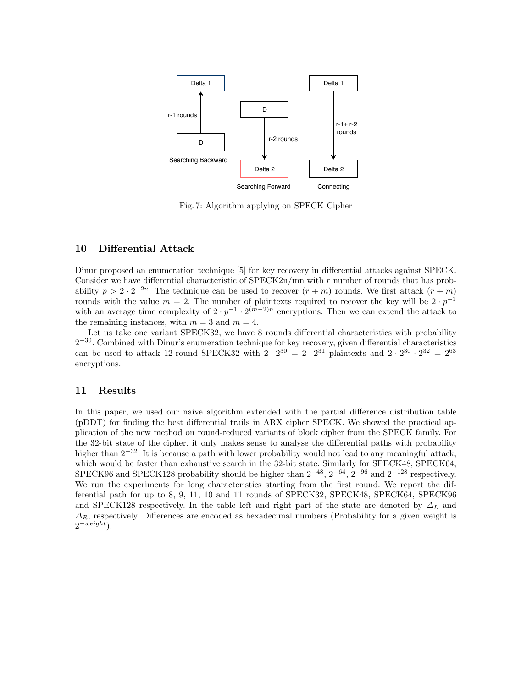

Fig. 7: Algorithm applying on SPECK Cipher

# 10 Differential Attack

Dinur proposed an enumeration technique [5] for key recovery in differential attacks against SPECK. Consider we have differential characteristic of SPECK2n/mn with r number of rounds that has probability  $p > 2 \cdot 2^{-2n}$ . The technique can be used to recover  $(r+m)$  rounds. We first attack  $(r+m)$ rounds with the value  $m = 2$ . The number of plaintexts required to recover the key will be  $2 \cdot p^{-1}$ with an average time complexity of  $2 \cdot p^{-1} \cdot 2^{(m-2)n}$  encryptions. Then we can extend the attack to the remaining instances, with  $m = 3$  and  $m = 4$ .

Let us take one variant SPECK32, we have 8 rounds differential characteristics with probability  $2^{-30}$ . Combined with Dinur's enumeration technique for key recovery, given differential characteristics can be used to attack 12-round SPECK32 with  $2 \cdot 2^{30} = 2 \cdot 2^{31}$  plaintexts and  $2 \cdot 2^{30} \cdot 2^{32} = 2^{63}$ encryptions.

#### 11 Results

In this paper, we used our naive algorithm extended with the partial difference distribution table (pDDT) for finding the best differential trails in ARX cipher SPECK. We showed the practical application of the new method on round-reduced variants of block cipher from the SPECK family. For the 32-bit state of the cipher, it only makes sense to analyse the differential paths with probability higher than  $2^{-32}$ . It is because a path with lower probability would not lead to any meaningful attack, which would be faster than exhaustive search in the 32-bit state. Similarly for SPECK48, SPECK64, SPECK96 and SPECK128 probability should be higher than  $2^{-48}$ ,  $2^{-64}$ ,  $2^{-96}$  and  $2^{-128}$  respectively. We run the experiments for long characteristics starting from the first round. We report the differential path for up to 8, 9, 11, 10 and 11 rounds of SPECK32, SPECK48, SPECK64, SPECK96 and SPECK128 respectively. In the table left and right part of the state are denoted by  $\Delta_L$  and  $\Delta_R$ , respectively. Differences are encoded as hexadecimal numbers (Probability for a given weight is  $2^{-weight}$ ).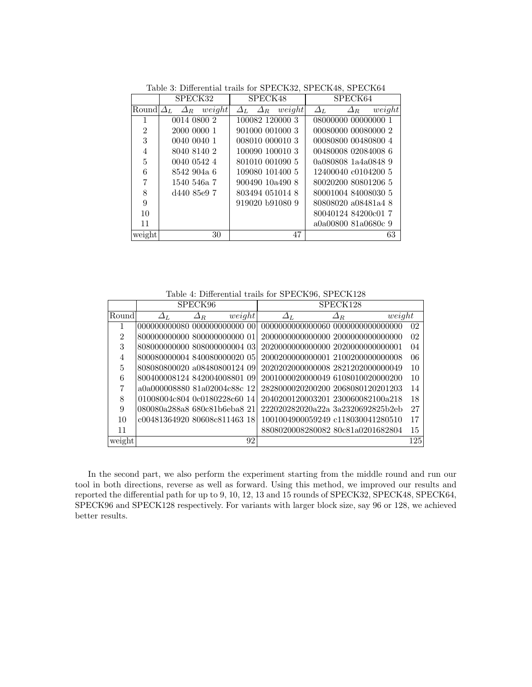|                | SPECK32                            | SPECK48                               | SPECK64                                  |  |  |
|----------------|------------------------------------|---------------------------------------|------------------------------------------|--|--|
| Roundl         | $\Delta_R$ weight<br>$\varDelta_L$ | weight<br>$\varDelta_R$<br>$\Delta_L$ | weight<br>$\varDelta_L$<br>$\varDelta_R$ |  |  |
|                | 0014 0800 2                        | 100082 120000 3                       | 08000000 00000000 1                      |  |  |
| $\overline{2}$ | 2000 0000 1                        | 901000 001000 3                       | 00080000 00080000 2                      |  |  |
| 3              | 0040 0040 1                        | 008010 000010 3                       | 00080800 00480800 4                      |  |  |
| 4              | 8040 8140 2                        | 100090 100010 3                       | 00480008 02084008 6                      |  |  |
| 5              | 0040 0542 4                        | 801010 001090 5                       | 0a080808 1a4a0848 9                      |  |  |
| 6              | 8542 904a 6                        | 109080 101400 5                       | 12400040 c0104200 5                      |  |  |
| 7              | 1540 546a 7                        | 900490 10a490 8                       | 80020200 80801206 5                      |  |  |
| 8              | d440 85e9 7                        | 803494 051014 8                       | 80001004 84008030 5                      |  |  |
| 9              |                                    | 919020 b91080 9                       | 80808020 a08481a4 8                      |  |  |
| 10             |                                    |                                       | 80040124 84200c01 7                      |  |  |
| 11             |                                    |                                       | a0a00800 81a0680c 9                      |  |  |
| weight         | 30                                 | 47                                    | 63                                       |  |  |

Table 3: Differential trails for SPECK32, SPECK48, SPECK64

Table 4: Differential trails for SPECK96, SPECK128

|                | SPECK96                      |               |        | SPECK128                                |               |        |                |
|----------------|------------------------------|---------------|--------|-----------------------------------------|---------------|--------|----------------|
| Round          | $\Delta_L$                   | $\varDelta_R$ | weight | $\varDelta_L$                           | $\varDelta_R$ | weight |                |
| 1              | 000000000080_000000000000_00 |               |        | 0000000000000060 00000000000000000      |               |        | 02             |
| $\mathfrak{D}$ | 800000000000 800000000000 01 |               |        | 20000000000000000 20000000000000000     |               |        | 0 <sup>2</sup> |
| 3              | 808000000000 808000000004 03 |               |        | 202000000000000000002020000000000000001 |               |        | 04             |
| 4              | 800080000004 840080000020 05 |               |        | 20002000000000001 21002000000000008     |               |        | 06             |
| 5              | 808080800020 a08480800124 09 |               |        | 20202020000000008 2821202000000049      |               |        | 10             |
| 6              | 800400008124 842004008801 09 |               |        | 2001000020000049 6108010020000200       |               |        | 10             |
| 7              | a0a000008880 81a02004c88c 12 |               |        | 2828000020200200 2068080120201203       |               |        | 14             |
| 8              | 01008004c804 0c0180228c60 14 |               |        | 2040200120003201 230060082100a218       |               |        | 18             |
| 9              | 080080a288a8 680c81b6eba8 21 |               |        | 222020282020a22a 3a2320692825b2eb       |               |        | 27             |
| 10             | c00481364920 80608c811463 18 |               |        | 1001004900059249 c118030041280510       |               |        | 17             |
| 11             |                              |               |        | 8808020008280082 80c81a0201682804       |               |        | 15             |
| weight         |                              |               | 92     |                                         |               |        | 125            |

In the second part, we also perform the experiment starting from the middle round and run our tool in both directions, reverse as well as forward. Using this method, we improved our results and reported the differential path for up to 9, 10, 12, 13 and 15 rounds of SPECK32, SPECK48, SPECK64, SPECK96 and SPECK128 respectively. For variants with larger block size, say 96 or 128, we achieved better results.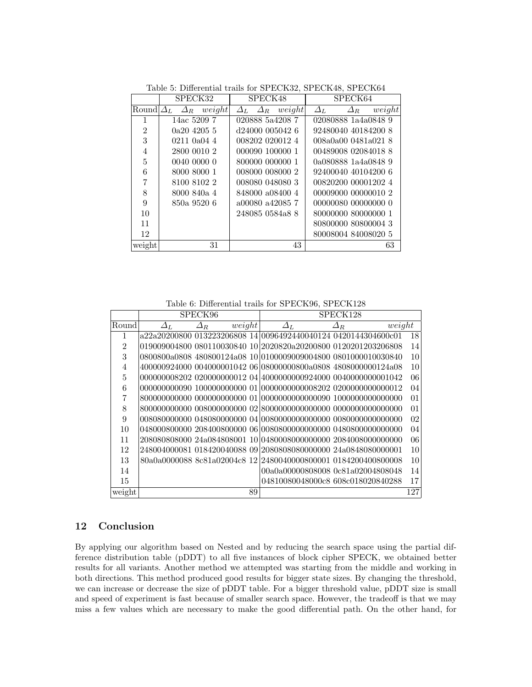|                | SPECK32                               | SPECK48                               | SPECK64                               |  |  |
|----------------|---------------------------------------|---------------------------------------|---------------------------------------|--|--|
| Round          | weight<br>$\varDelta_L$<br>$\Delta_R$ | weight<br>$\varDelta_R$<br>$\Delta_L$ | weight<br>$\Delta_L$<br>$\varDelta_R$ |  |  |
| 1              | 14ac 5209 7                           | 020888 5a4208 7                       | 02080888 1a4a0848 9                   |  |  |
| $\overline{2}$ | 0a2042055                             | d24000 005042 6                       | 92480040 40184200 8                   |  |  |
| 3              | $0211$ $0a04$ 4                       | 008202 020012 4                       | 008a0a00 0481a021 8                   |  |  |
| 4              | 2800 0010 2                           | 000090 100000 1                       | 00489008 02084018 8                   |  |  |
| 5              | 0040 0000 0                           | 800000 000000 1                       | 0a080888 1a4a0848 9                   |  |  |
| 6              | 8000 8000 1                           | 008000 008000 2                       | 92400040 40104200 6                   |  |  |
| 7              | 8100 8102 2                           | 008080 048080 3                       | 00820200 00001202 4                   |  |  |
| 8              | 8000 840a 4                           | 848000 a08400 4                       | 00009000 00000010 2                   |  |  |
| 9              | 850a 9520 6                           | a00080 a42085 7                       | 00000080 00000000 0                   |  |  |
| 10             |                                       | 248085 0584a8 8                       | 80000000 80000000 1                   |  |  |
| 11             |                                       |                                       | 80800000 80800004 3                   |  |  |
| 12             |                                       |                                       | 80008004 84008020 5                   |  |  |
| weight         | 31                                    | 43                                    | 63                                    |  |  |

Table 5: Differential trails for SPECK32, SPECK48, SPECK64

Table 6: Differential trails for SPECK96, SPECK128

|                | SPECK96       |               |        |    | SPECK128                                                       |               |        |     |
|----------------|---------------|---------------|--------|----|----------------------------------------------------------------|---------------|--------|-----|
| Round          | $\varDelta_L$ | $\varDelta_R$ | weight |    | $\Delta_L$                                                     | $\varDelta_R$ | weight |     |
| 1              |               |               |        |    | a22a20200800 013223206808 14 0096492440040124 0420144304600c01 |               |        | 18  |
| $\overline{2}$ |               |               |        |    | 019009004800 080110030840 10 2020820a20200800 0120201203206808 |               |        | 14  |
| 3              |               |               |        |    | 0800800a0808 480800124a08 10 0100009009004800 0801000010030840 |               |        | 10  |
| $\overline{4}$ |               |               |        |    | 400000924000 004000001042 06 08000000800a0808 4808000000124a08 |               |        | 10  |
| 5              |               |               |        |    | 000000008202 020000000012 04 4000000000924000 0040000000001042 |               |        | 06  |
| 6              |               |               |        |    |                                                                |               |        | 04  |
| 7              |               |               |        |    |                                                                |               |        | 01  |
| 8              |               |               |        |    |                                                                |               |        | 01  |
| 9              |               |               |        |    |                                                                |               |        | 02  |
| 10             |               |               |        |    |                                                                |               |        | 04  |
| 11             |               |               |        |    | 208080808000 24a084808001 10 0480008000000000 2084008000000000 |               |        | 06  |
| 12             |               |               |        |    | 248004000081 018420040088 09 2080808080000000 24a0848080000001 |               |        | 10  |
| 13             |               |               |        |    | 80a0a0000088 8c81a02004c8 12 2480040000800001 0184200400800008 |               |        | 10  |
| 14             |               |               |        |    | 00a0a00000808008 0c81a02004808048                              |               |        | 14  |
| 15             |               |               |        |    | 04810080048000c8 608c018020840288                              |               |        | 17  |
| weight         |               |               |        | 89 |                                                                |               |        | 127 |

## 12 Conclusion

By applying our algorithm based on Nested and by reducing the search space using the partial difference distribution table (pDDT) to all five instances of block cipher SPECK, we obtained better results for all variants. Another method we attempted was starting from the middle and working in both directions. This method produced good results for bigger state sizes. By changing the threshold, we can increase or decrease the size of pDDT table. For a bigger threshold value, pDDT size is small and speed of experiment is fast because of smaller search space. However, the tradeoff is that we may miss a few values which are necessary to make the good differential path. On the other hand, for